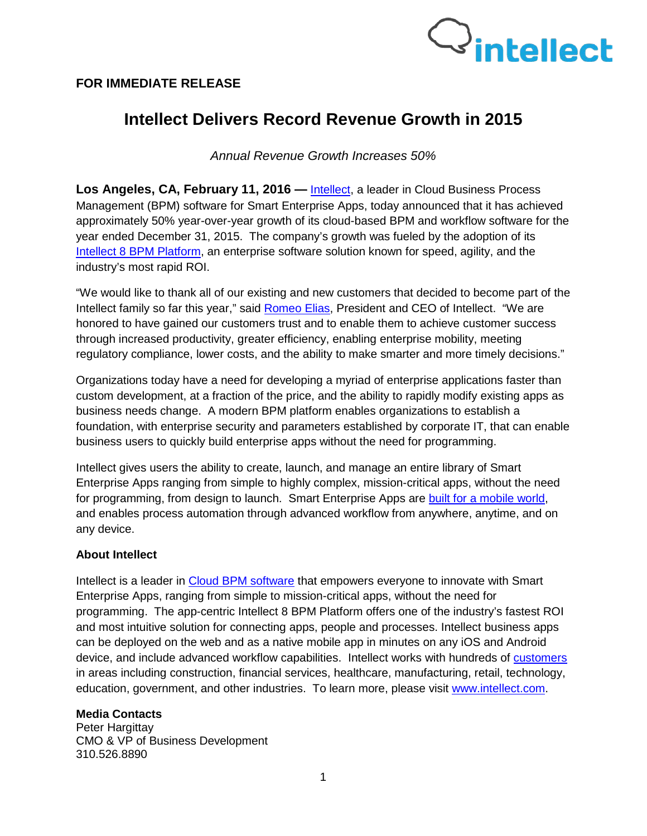## **FOR IMMEDIATE RELEASE**



## **Intellect Delivers Record Revenue Growth in 2015**

*Annual Revenue Growth Increases 50%* 

**Los Angeles, CA, February 11, 2016 —** [Intellect,](http://www.intellect.com/) a leader in Cloud Business Process Management (BPM) software for [Smart](http://www.interneer.com/hosted-workflow-products-services/intellect-cloud/) Enterprise Apps, today announced that it has achieved approximately 50% year-over-year growth of its cloud-based BPM and workflow software for the year ended December 31, 2015. The company's growth was fueled by the adoption of its [Intellect 8 BPM Platform,](http://www.intellect.com/hosted-workflow-products-services/intellect-cloud/) an enterprise software solution known for speed, agility, and the industry's most rapid ROI.

"We would like to thank all of our existing and new customers that decided to become part of the Intellect family so far this year," said [Romeo Elias,](http://www.intellect.com/workflow-business-process-management-software-about-us/our-team/) President and CEO of Intellect. "We are honored to have gained our customers trust and to enable them to achieve customer success through increased productivity, greater efficiency, enabling enterprise mobility, meeting regulatory compliance, lower costs, and the ability to make smarter and more timely decisions."

Organizations today have a need for developing a myriad of enterprise applications faster than custom development, at a fraction of the price, and the ability to rapidly modify existing apps as business needs change. A modern BPM platform enables organizations to establish a foundation, with enterprise security and parameters established by corporate IT, that can enable business users to quickly build enterprise apps without the need for programming.

Intellect gives users the ability to create, launch, and manage an entire library of Smart Enterprise Apps ranging from simple to highly complex, mission-critical apps, without the need for programming, from design to launch. Smart Enterprise Apps are [built for a mobile world,](http://www.intellect.com/intellect-mobileapps) and enables process automation through advanced workflow from anywhere, anytime, and on any device.

## **About Intellect**

Intellect is a leader in [Cloud BPM software](http://www.interneer.com/hosted-workflow-products-services/intellect-cloud/) that empowers everyone to innovate with Smart Enterprise Apps, ranging from simple to mission-critical apps, without the need for programming. The app-centric Intellect 8 BPM Platform offers one of the industry's fastest ROI and most intuitive solution for connecting apps, people and processes. Intellect business apps can be deployed on the web and as a native mobile app in minutes on any iOS and Android device, and include advanced workflow capabilities. Intellect works with hundreds of [customers](http://www.intellect.com/customers/) in areas including construction, financial services, healthcare, manufacturing, retail, technology, education, government, and other industries. To learn more, please visit [www.intellect.com.](http://www.intellect.com/)

## **Media Contacts**

Peter Hargittay CMO & VP of Business Development 310.526.8890